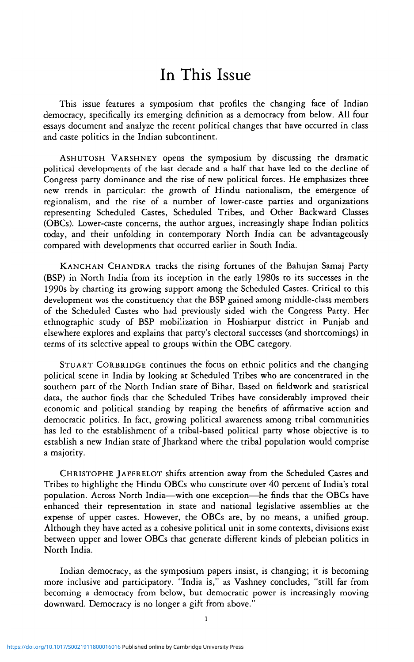## In This Issue

This issue features a symposium that profiles the changing face of Indian democracy, specifically its emerging definition as a democracy from below. All four essays document and analyze the recent political changes that have occurred in class and caste politics in the Indian subcontinent.

ASHUTOSH VARSHNEY opens the symposium by discussing the dramatic political developments of the last decade and a half that have led to the decline of Congress party dominance and the rise of new political forces. He emphasizes three new trends in particular: the growth of Hindu nationalism, the emergence of regionalism, and the rise of a number of lower-caste parties and organizations representing Scheduled Castes, Scheduled Tribes, and Other Backward Classes (OBCs). Lower-caste concerns, the author argues, increasingly shape Indian politics today, and their unfolding in contemporary North India can be advantageously compared with developments that occurred earlier in South India.

KANCHAN CHANDRA tracks the rising fortunes of the Bahujan Samaj Party (BSP) in North India from its inception in the early 1980s to its successes in the 1990s by charting its growing support among the Scheduled Castes. Critical to this development was the constituency that the BSP gained among middle-class members of the Scheduled Castes who had previously sided with the Congress Party. Her ethnographic study of BSP mobilization in Hoshiarpur district in Punjab and elsewhere explores and explains that party's electoral successes (and shortcomings) in terms of its selective appeal to groups within the OBC category.

STUART CORBRIDGE continues the focus on ethnic politics and the changing political scene in India by looking at Scheduled Tribes who are concentrated in the southern part of the North Indian state of Bihar. Based on fieldwork and statistical data, the author finds that the Scheduled Tribes have considerably improved their economic and political standing by reaping the benefits of affirmative action and democratic politics. In fact, growing political awareness among tribal communities has led to the establishment of a tribal-based political party whose objective is to establish a new Indian state of Jharkand where the tribal population would comprise a majority.

CHRISTOPHE JAFFRELOT shifts attention away from the Scheduled Castes and Tribes to highlight the Hindu OBCs who constitute over 40 percent of India's total population. Across North India—with one exception—he finds that the OBCs have enhanced their representation in state and national legislative assemblies at the expense of upper castes. However, the OBCs are, by no means, a unified group. Although they have acted as a cohesive political unit in some contexts, divisions exist between upper and lower OBCs that generate different kinds of plebeian politics in North India.

Indian democracy, as the symposium papers insist, is changing; it is becoming more inclusive and participatory. "India is," as Vashney concludes, "still far from becoming a democracy from below, but democratic power is increasingly moving downward. Democracy is no longer a gift from above."